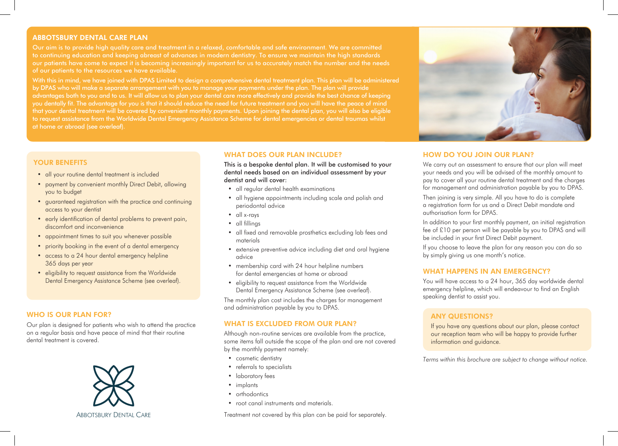## ABBOTSBURY DENTAL CARE PLAN

to continuing education and keeping abreast of advances in modern dentistry. To ensure we maintain the high standards our patients have come to expect it is becoming increasingly important for us to accurately match the number and the needs of our patients to the resources we have available.

With this in mind, we have joined with DPAS Limited to design a comprehensive dental treatment plan. This plan will be administered by DPAS who will make a separate arrangement with you to manage your payments under the plan. The plan will provide advantages both to you and to us. It will allow us to plan your dental care more effectively and provide the best chance of keeping you dentally fit. The advantage for you is that it should reduce the need for future treatment and you will have the peace of mind that your dental treatment will be covered by convenient monthly payments. Upon joining the dental plan, you will also be eligible to request assistance from the Worldwide Dental Emergency Assistance Scheme for dental emergencies or dental traumas whilst at home or abroad (see overleaf).

# YOUR BENEFITS

- all your routine dental treatment is included
- payment by convenient monthly Direct Debit, allowing you to budget
- guaranteed registration with the practice and continuing access to your dentist
- early identification of dental problems to prevent pain, discomfort and inconvenience
- appointment times to suit you whenever possible
- priority booking in the event of a dental emergency
- access to a 24 hour dental emergency helpline 365 days per year
- eligibility to request assistance from the Worldwide Dental Emergency Assistance Scheme (see overleaf).

## WHO IS OUR PLAN FOR?

Our plan is designed for patients who wish to attend the practice on a regular basis and have peace of mind that their routine dental treatment is covered.



#### WHAT DOES OUR PLAN INCLUDE?

This is a bespoke dental plan. It will be customised to your dental needs based on an individual assessment by your dentist and will cover:

- all regular dental health examinations
- all hygiene appointments including scale and polish and periodontal advice
- all x-rays
- all fillings
- all fixed and removable prosthetics excluding lab fees and materials
- extensive preventive advice including diet and oral hygiene advice
- membership card with 24 hour helpline numbers for dental emergencies at home or abroad
- eligibility to request assistance from the Worldwide Dental Emergency Assistance Scheme (see overleaf).

The monthly plan cost includes the charges for management and administration payable by you to DPAS.

## WHAT IS EXCLUDED FROM OUR PLAN?

Although non-routine services are available from the practice, some items fall outside the scope of the plan and are not covered by the monthly payment namely:

- cosmetic dentistry
- referrals to specialists
- laboratory fees
- implants
- orthodontics
- root canal instruments and materials.

Treatment not covered by this plan can be paid for separately.



# HOW DO YOU JOIN OUR PLAN?

We carry out an assessment to ensure that our plan will meet your needs and you will be advised of the monthly amount to pay to cover all your routine dental treatment and the charges for management and administration payable by you to DPAS.

Then joining is very simple. All you have to do is complete a registration form for us and a Direct Debit mandate and authorisation form for DPAS.

In addition to your first monthly payment, an initial registration fee of £10 per person will be payable by you to DPAS and will be included in your first Direct Debit payment.

If you choose to leave the plan for any reason you can do so by simply giving us one month's notice.

#### WHAT HAPPENS IN AN EMERGENCY?

You will have access to a 24 hour, 365 day worldwide dental emergency helpline, which will endeavour to find an English speaking dentist to assist you.

# ANY QUESTIONS?

If you have any questions about our plan, please contact our reception team who will be happy to provide further information and guidance.

*Terms within this brochure are subject to change without notice.*